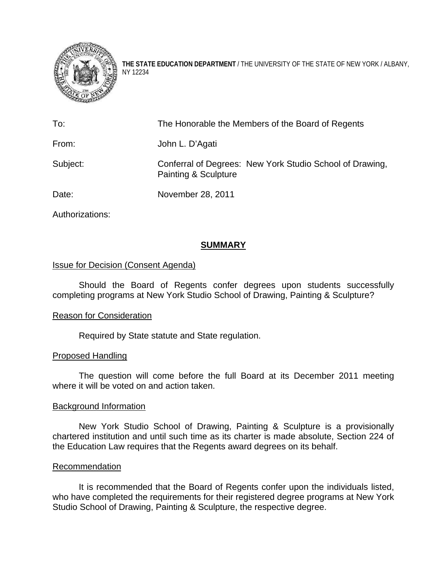

**THE STATE EDUCATION DEPARTMENT** / THE UNIVERSITY OF THE STATE OF NEW YORK / ALBANY, NY 12234

| To:      | The Honorable the Members of the Board of Regents                                           |
|----------|---------------------------------------------------------------------------------------------|
| From:    | John L. D'Agati                                                                             |
| Subject: | Conferral of Degrees: New York Studio School of Drawing,<br><b>Painting &amp; Sculpture</b> |
| Date:    | November 28, 2011                                                                           |

Authorizations:

# **SUMMARY**

## Issue for Decision (Consent Agenda)

Should the Board of Regents confer degrees upon students successfully completing programs at New York Studio School of Drawing, Painting & Sculpture?

## Reason for Consideration

Required by State statute and State regulation.

## Proposed Handling

The question will come before the full Board at its December 2011 meeting where it will be voted on and action taken.

## Background Information

New York Studio School of Drawing, Painting & Sculpture is a provisionally chartered institution and until such time as its charter is made absolute, Section 224 of the Education Law requires that the Regents award degrees on its behalf.

## Recommendation

It is recommended that the Board of Regents confer upon the individuals listed, who have completed the requirements for their registered degree programs at New York Studio School of Drawing, Painting & Sculpture, the respective degree.